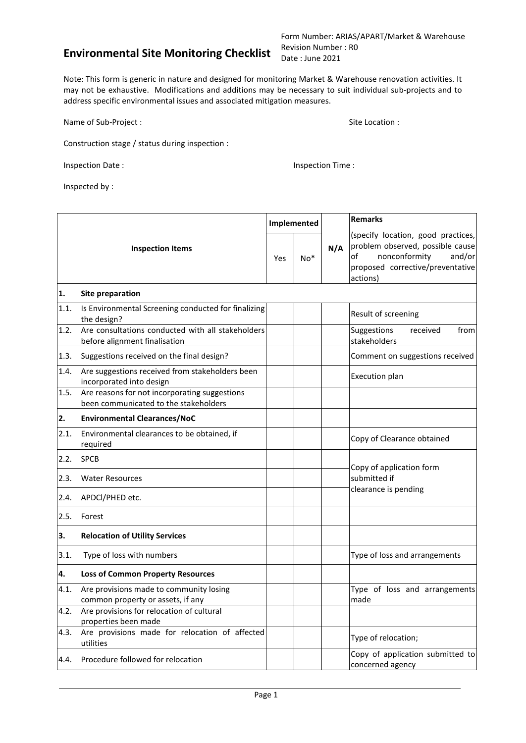Form Number: ARIAS/APART/Market & Warehouse Revision Number : R0 Date : June 2021

Note: This form is generic in nature and designed for monitoring Market & Warehouse renovation activities. It may not be exhaustive. Modifications and additions may be necessary to suit individual sub-projects and to address specific environmental issues and associated mitigation measures.

Name of Sub-Project : Site Location : Site Location : Site Location :

Construction stage / status during inspection :

Inspection Date : **Inspection Time** :

Inspected by :

|      | Implemented<br><b>Inspection Items</b><br>Yes                                          |  |       |     | <b>Remarks</b>                                                                                                                                          |
|------|----------------------------------------------------------------------------------------|--|-------|-----|---------------------------------------------------------------------------------------------------------------------------------------------------------|
|      |                                                                                        |  | $No*$ | N/A | (specify location, good practices,<br>problem observed, possible cause<br>nonconformity<br>and/or<br>οf<br>proposed corrective/preventative<br>actions) |
| 1.   | Site preparation                                                                       |  |       |     |                                                                                                                                                         |
| 1.1. | Is Environmental Screening conducted for finalizing<br>the design?                     |  |       |     | Result of screening                                                                                                                                     |
| 1.2. | Are consultations conducted with all stakeholders<br>before alignment finalisation     |  |       |     | Suggestions<br>from<br>received<br>stakeholders                                                                                                         |
| 1.3. | Suggestions received on the final design?                                              |  |       |     | Comment on suggestions received                                                                                                                         |
| 1.4. | Are suggestions received from stakeholders been<br>incorporated into design            |  |       |     | Execution plan                                                                                                                                          |
| 1.5. | Are reasons for not incorporating suggestions<br>been communicated to the stakeholders |  |       |     |                                                                                                                                                         |
| 2.   | <b>Environmental Clearances/NoC</b>                                                    |  |       |     |                                                                                                                                                         |
| 2.1. | Environmental clearances to be obtained, if<br>required                                |  |       |     | Copy of Clearance obtained                                                                                                                              |
| 2.2. | <b>SPCB</b>                                                                            |  |       |     |                                                                                                                                                         |
| 2.3. | <b>Water Resources</b>                                                                 |  |       |     | Copy of application form<br>submitted if                                                                                                                |
| 2.4. | APDCI/PHED etc.                                                                        |  |       |     | clearance is pending                                                                                                                                    |
| 2.5. | Forest                                                                                 |  |       |     |                                                                                                                                                         |
| 3.   | <b>Relocation of Utility Services</b>                                                  |  |       |     |                                                                                                                                                         |
| 3.1. | Type of loss with numbers                                                              |  |       |     | Type of loss and arrangements                                                                                                                           |
| 4.   | <b>Loss of Common Property Resources</b>                                               |  |       |     |                                                                                                                                                         |
| 4.1. | Are provisions made to community losing<br>common property or assets, if any           |  |       |     | Type of loss and arrangements<br>made                                                                                                                   |
| 4.2. | Are provisions for relocation of cultural<br>properties been made                      |  |       |     |                                                                                                                                                         |
| 4.3. | Are provisions made for relocation of affected<br>utilities                            |  |       |     | Type of relocation;                                                                                                                                     |
| 4.4. | Procedure followed for relocation                                                      |  |       |     | Copy of application submitted to<br>concerned agency                                                                                                    |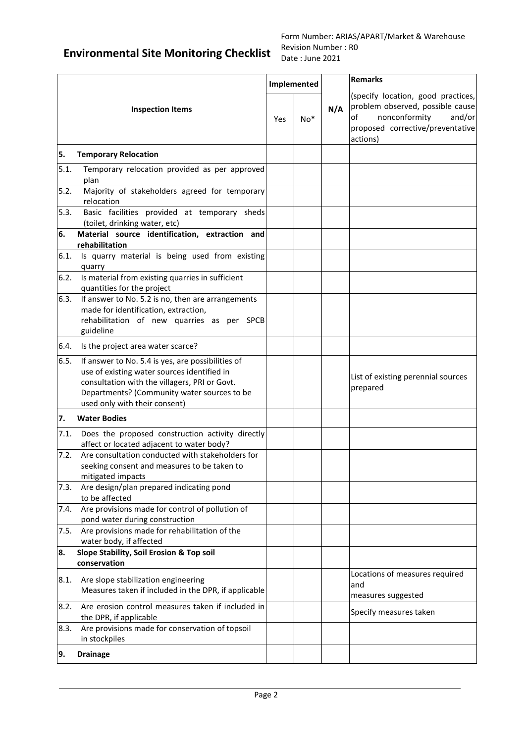|      |                                                                                                                                                                                                                                   |     | Implemented |     | <b>Remarks</b>                                                                                                                                          |
|------|-----------------------------------------------------------------------------------------------------------------------------------------------------------------------------------------------------------------------------------|-----|-------------|-----|---------------------------------------------------------------------------------------------------------------------------------------------------------|
|      | <b>Inspection Items</b>                                                                                                                                                                                                           | Yes | $No*$       | N/A | (specify location, good practices,<br>problem observed, possible cause<br>nonconformity<br>and/or<br>of<br>proposed corrective/preventative<br>actions) |
| 5.   | <b>Temporary Relocation</b>                                                                                                                                                                                                       |     |             |     |                                                                                                                                                         |
| 5.1. | Temporary relocation provided as per approved<br>plan                                                                                                                                                                             |     |             |     |                                                                                                                                                         |
| 5.2. | Majority of stakeholders agreed for temporary<br>relocation                                                                                                                                                                       |     |             |     |                                                                                                                                                         |
| 5.3. | Basic facilities provided at temporary sheds<br>(toilet, drinking water, etc)                                                                                                                                                     |     |             |     |                                                                                                                                                         |
| 6.   | Material source identification, extraction and<br>rehabilitation                                                                                                                                                                  |     |             |     |                                                                                                                                                         |
| 6.1. | Is quarry material is being used from existing<br>quarry                                                                                                                                                                          |     |             |     |                                                                                                                                                         |
| 6.2. | Is material from existing quarries in sufficient<br>quantities for the project                                                                                                                                                    |     |             |     |                                                                                                                                                         |
| 6.3. | If answer to No. 5.2 is no, then are arrangements<br>made for identification, extraction,<br>rehabilitation of new quarries as per SPCB<br>guideline                                                                              |     |             |     |                                                                                                                                                         |
| 6.4. | Is the project area water scarce?                                                                                                                                                                                                 |     |             |     |                                                                                                                                                         |
| 6.5. | If answer to No. 5.4 is yes, are possibilities of<br>use of existing water sources identified in<br>consultation with the villagers, PRI or Govt.<br>Departments? (Community water sources to be<br>used only with their consent) |     |             |     | List of existing perennial sources<br>prepared                                                                                                          |
| 7.   | <b>Water Bodies</b>                                                                                                                                                                                                               |     |             |     |                                                                                                                                                         |
| 7.1. | Does the proposed construction activity directly<br>affect or located adjacent to water body?                                                                                                                                     |     |             |     |                                                                                                                                                         |
| 7.2. | Are consultation conducted with stakeholders for<br>seeking consent and measures to be taken to<br>mitigated impacts                                                                                                              |     |             |     |                                                                                                                                                         |
| 7.3. | Are design/plan prepared indicating pond<br>to be affected                                                                                                                                                                        |     |             |     |                                                                                                                                                         |
| 7.4. | Are provisions made for control of pollution of<br>pond water during construction                                                                                                                                                 |     |             |     |                                                                                                                                                         |
| 7.5. | Are provisions made for rehabilitation of the<br>water body, if affected                                                                                                                                                          |     |             |     |                                                                                                                                                         |
| 8.   | Slope Stability, Soil Erosion & Top soil<br>conservation                                                                                                                                                                          |     |             |     |                                                                                                                                                         |
| 8.1. | Are slope stabilization engineering<br>Measures taken if included in the DPR, if applicable                                                                                                                                       |     |             |     | Locations of measures required<br>and<br>measures suggested                                                                                             |
| 8.2. | Are erosion control measures taken if included in<br>the DPR, if applicable                                                                                                                                                       |     |             |     | Specify measures taken                                                                                                                                  |
| 8.3. | Are provisions made for conservation of topsoil<br>in stockpiles                                                                                                                                                                  |     |             |     |                                                                                                                                                         |
| 9.   | <b>Drainage</b>                                                                                                                                                                                                                   |     |             |     |                                                                                                                                                         |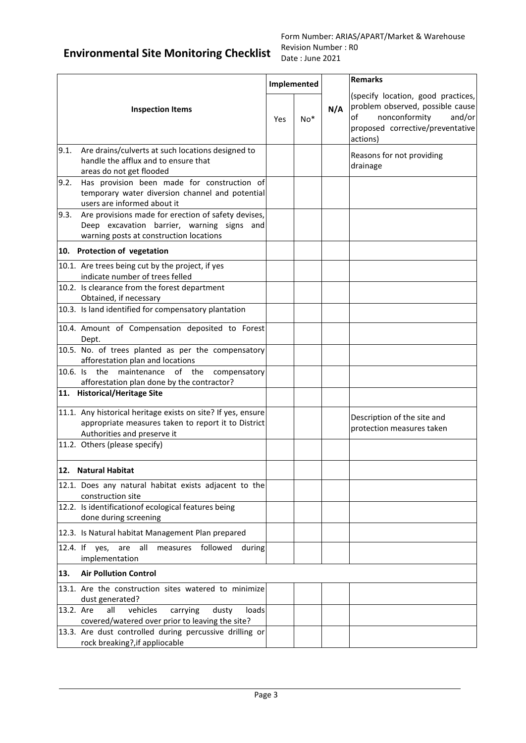|                         |                                                                                                                                                    |     |             |     | <b>Remarks</b>                                                                                                                                          |
|-------------------------|----------------------------------------------------------------------------------------------------------------------------------------------------|-----|-------------|-----|---------------------------------------------------------------------------------------------------------------------------------------------------------|
|                         |                                                                                                                                                    |     | Implemented |     |                                                                                                                                                         |
| <b>Inspection Items</b> |                                                                                                                                                    | Yes | $No*$       | N/A | (specify location, good practices,<br>problem observed, possible cause<br>nonconformity<br>and/or<br>of<br>proposed corrective/preventative<br>actions) |
| 9.1.                    | Are drains/culverts at such locations designed to<br>handle the afflux and to ensure that<br>areas do not get flooded                              |     |             |     | Reasons for not providing<br>drainage                                                                                                                   |
| 9.2.                    | Has provision been made for construction of<br>temporary water diversion channel and potential<br>users are informed about it                      |     |             |     |                                                                                                                                                         |
| 9.3.                    | Are provisions made for erection of safety devises,<br>Deep excavation barrier, warning signs and<br>warning posts at construction locations       |     |             |     |                                                                                                                                                         |
|                         | 10. Protection of vegetation                                                                                                                       |     |             |     |                                                                                                                                                         |
|                         | 10.1. Are trees being cut by the project, if yes<br>indicate number of trees felled                                                                |     |             |     |                                                                                                                                                         |
|                         | 10.2. Is clearance from the forest department<br>Obtained, if necessary                                                                            |     |             |     |                                                                                                                                                         |
|                         | 10.3. Is land identified for compensatory plantation                                                                                               |     |             |     |                                                                                                                                                         |
|                         | 10.4. Amount of Compensation deposited to Forest<br>Dept.                                                                                          |     |             |     |                                                                                                                                                         |
|                         | 10.5. No. of trees planted as per the compensatory<br>afforestation plan and locations                                                             |     |             |     |                                                                                                                                                         |
|                         | 10.6. Is the maintenance of the<br>compensatory                                                                                                    |     |             |     |                                                                                                                                                         |
|                         | afforestation plan done by the contractor?<br>11. Historical/Heritage Site                                                                         |     |             |     |                                                                                                                                                         |
|                         | 11.1. Any historical heritage exists on site? If yes, ensure<br>appropriate measures taken to report it to District<br>Authorities and preserve it |     |             |     | Description of the site and<br>protection measures taken                                                                                                |
|                         | 11.2. Others (please specify)                                                                                                                      |     |             |     |                                                                                                                                                         |
|                         | 12. Natural Habitat                                                                                                                                |     |             |     |                                                                                                                                                         |
|                         | 12.1. Does any natural habitat exists adjacent to the<br>construction site                                                                         |     |             |     |                                                                                                                                                         |
|                         | 12.2. Is identificationof ecological features being<br>done during screening                                                                       |     |             |     |                                                                                                                                                         |
|                         | 12.3. Is Natural habitat Management Plan prepared                                                                                                  |     |             |     |                                                                                                                                                         |
|                         | 12.4. If yes, are<br>all<br>measures<br>followed<br>during<br>implementation                                                                       |     |             |     |                                                                                                                                                         |
| 13.                     | <b>Air Pollution Control</b>                                                                                                                       |     |             |     |                                                                                                                                                         |
|                         | 13.1. Are the construction sites watered to minimize<br>dust generated?                                                                            |     |             |     |                                                                                                                                                         |
| 13.2. Are               | vehicles<br>all<br>carrying<br>loads<br>dusty<br>covered/watered over prior to leaving the site?                                                   |     |             |     |                                                                                                                                                         |
|                         | 13.3. Are dust controlled during percussive drilling or<br>rock breaking?, if appliocable                                                          |     |             |     |                                                                                                                                                         |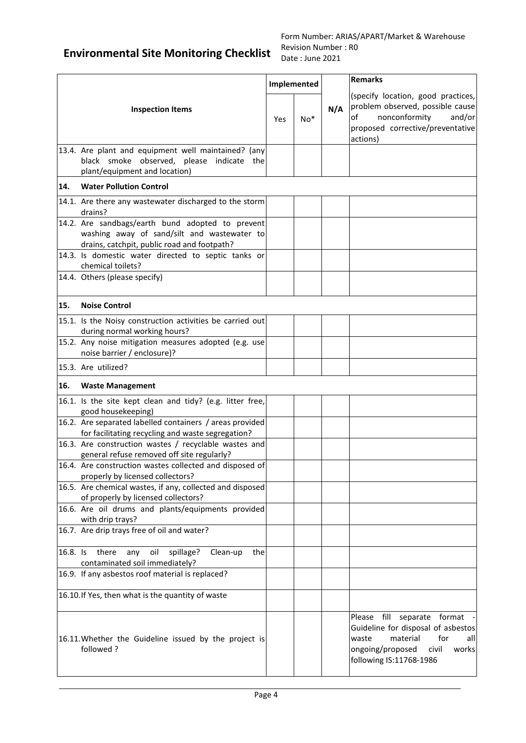|          |                                                                                                                                                |     | Implemented |     | <b>Remarks</b>                                                                                                                                                        |
|----------|------------------------------------------------------------------------------------------------------------------------------------------------|-----|-------------|-----|-----------------------------------------------------------------------------------------------------------------------------------------------------------------------|
|          | <b>Inspection Items</b>                                                                                                                        | Yes | $No*$       | N/A | (specify location, good practices,<br>problem observed, possible cause<br>nonconformity<br>and/or<br>of<br>proposed corrective/preventative<br>actions)               |
|          | 13.4. Are plant and equipment well maintained? (any<br>black smoke observed, please indicate the<br>plant/equipment and location)              |     |             |     |                                                                                                                                                                       |
| 14.      | <b>Water Pollution Control</b>                                                                                                                 |     |             |     |                                                                                                                                                                       |
|          | 14.1. Are there any wastewater discharged to the storm<br>drains?                                                                              |     |             |     |                                                                                                                                                                       |
|          | 14.2. Are sandbags/earth bund adopted to prevent<br>washing away of sand/silt and wastewater to<br>drains, catchpit, public road and footpath? |     |             |     |                                                                                                                                                                       |
|          | 14.3. Is domestic water directed to septic tanks or<br>chemical toilets?                                                                       |     |             |     |                                                                                                                                                                       |
|          | 14.4. Others (please specify)                                                                                                                  |     |             |     |                                                                                                                                                                       |
| 15.      | <b>Noise Control</b>                                                                                                                           |     |             |     |                                                                                                                                                                       |
|          | 15.1. Is the Noisy construction activities be carried out<br>during normal working hours?                                                      |     |             |     |                                                                                                                                                                       |
|          | 15.2. Any noise mitigation measures adopted (e.g. use<br>noise barrier / enclosure)?                                                           |     |             |     |                                                                                                                                                                       |
|          | 15.3. Are utilized?                                                                                                                            |     |             |     |                                                                                                                                                                       |
| 16.      | <b>Waste Management</b>                                                                                                                        |     |             |     |                                                                                                                                                                       |
|          | 16.1. Is the site kept clean and tidy? (e.g. litter free,<br>good housekeeping)                                                                |     |             |     |                                                                                                                                                                       |
|          | 16.2. Are separated labelled containers / areas provided<br>for facilitating recycling and waste segregation?                                  |     |             |     |                                                                                                                                                                       |
|          | 16.3. Are construction wastes / recyclable wastes and<br>general refuse removed off site regularly?                                            |     |             |     |                                                                                                                                                                       |
|          | 16.4. Are construction wastes collected and disposed of<br>properly by licensed collectors?                                                    |     |             |     |                                                                                                                                                                       |
|          | 16.5. Are chemical wastes, if any, collected and disposed<br>of properly by licensed collectors?                                               |     |             |     |                                                                                                                                                                       |
|          | 16.6. Are oil drums and plants/equipments provided<br>with drip trays?                                                                         |     |             |     |                                                                                                                                                                       |
|          | 16.7. Are drip trays free of oil and water?                                                                                                    |     |             |     |                                                                                                                                                                       |
| 16.8. Is | spillage?<br>there<br>oil<br>any<br>Clean-up<br>the<br>contaminated soil immediately?                                                          |     |             |     |                                                                                                                                                                       |
|          | 16.9. If any asbestos roof material is replaced?                                                                                               |     |             |     |                                                                                                                                                                       |
|          | 16.10. If Yes, then what is the quantity of waste                                                                                              |     |             |     |                                                                                                                                                                       |
|          | 16.11. Whether the Guideline issued by the project is<br>followed?                                                                             |     |             |     | Please fill separate format<br>Guideline for disposal of asbestos<br>material<br>for<br>waste<br>all<br>ongoing/proposed<br>civil<br>works<br>following IS:11768-1986 |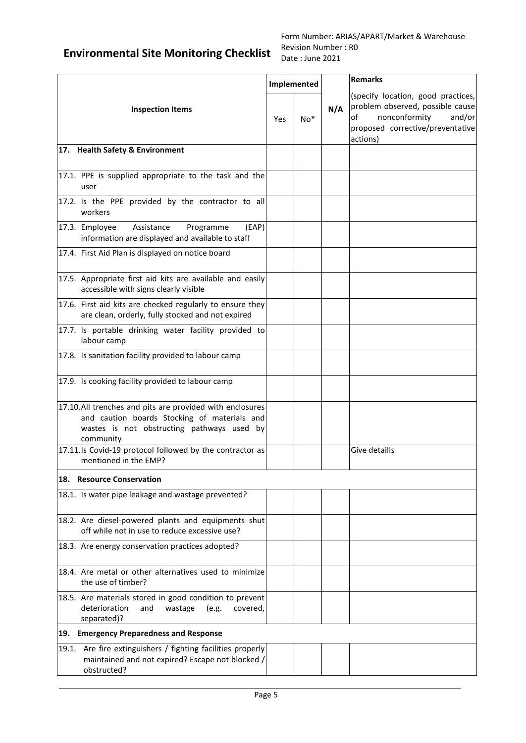|                                                                                                                                                                     |     | Implemented |     | <b>Remarks</b>                                                                                                                                          |
|---------------------------------------------------------------------------------------------------------------------------------------------------------------------|-----|-------------|-----|---------------------------------------------------------------------------------------------------------------------------------------------------------|
| <b>Inspection Items</b>                                                                                                                                             | Yes | $No*$       | N/A | (specify location, good practices,<br>problem observed, possible cause<br>of<br>nonconformity<br>and/or<br>proposed corrective/preventative<br>actions) |
| 17. Health Safety & Environment                                                                                                                                     |     |             |     |                                                                                                                                                         |
| 17.1. PPE is supplied appropriate to the task and the<br>user                                                                                                       |     |             |     |                                                                                                                                                         |
| 17.2. Is the PPE provided by the contractor to all<br>workers                                                                                                       |     |             |     |                                                                                                                                                         |
| Assistance<br>Programme<br>(EAP)<br>17.3. Employee<br>information are displayed and available to staff                                                              |     |             |     |                                                                                                                                                         |
| 17.4. First Aid Plan is displayed on notice board                                                                                                                   |     |             |     |                                                                                                                                                         |
| 17.5. Appropriate first aid kits are available and easily<br>accessible with signs clearly visible                                                                  |     |             |     |                                                                                                                                                         |
| 17.6. First aid kits are checked regularly to ensure they<br>are clean, orderly, fully stocked and not expired                                                      |     |             |     |                                                                                                                                                         |
| 17.7. Is portable drinking water facility provided to<br>labour camp                                                                                                |     |             |     |                                                                                                                                                         |
| 17.8. Is sanitation facility provided to labour camp                                                                                                                |     |             |     |                                                                                                                                                         |
| 17.9. Is cooking facility provided to labour camp                                                                                                                   |     |             |     |                                                                                                                                                         |
| 17.10.All trenches and pits are provided with enclosures<br>and caution boards Stocking of materials and<br>wastes is not obstructing pathways used by<br>community |     |             |     |                                                                                                                                                         |
| 17.11.Is Covid-19 protocol followed by the contractor as<br>mentioned in the EMP?                                                                                   |     |             |     | Give detaills                                                                                                                                           |
| 18. Resource Conservation                                                                                                                                           |     |             |     |                                                                                                                                                         |
| 18.1. Is water pipe leakage and wastage prevented?                                                                                                                  |     |             |     |                                                                                                                                                         |
| 18.2. Are diesel-powered plants and equipments shut<br>off while not in use to reduce excessive use?                                                                |     |             |     |                                                                                                                                                         |
| 18.3. Are energy conservation practices adopted?                                                                                                                    |     |             |     |                                                                                                                                                         |
| 18.4. Are metal or other alternatives used to minimize<br>the use of timber?                                                                                        |     |             |     |                                                                                                                                                         |
| 18.5. Are materials stored in good condition to prevent<br>deterioration<br>and<br>wastage<br>(e.g.<br>covered,<br>separated)?                                      |     |             |     |                                                                                                                                                         |
| 19. Emergency Preparedness and Response                                                                                                                             |     |             |     |                                                                                                                                                         |
| 19.1. Are fire extinguishers / fighting facilities properly<br>maintained and not expired? Escape not blocked /<br>obstructed?                                      |     |             |     |                                                                                                                                                         |